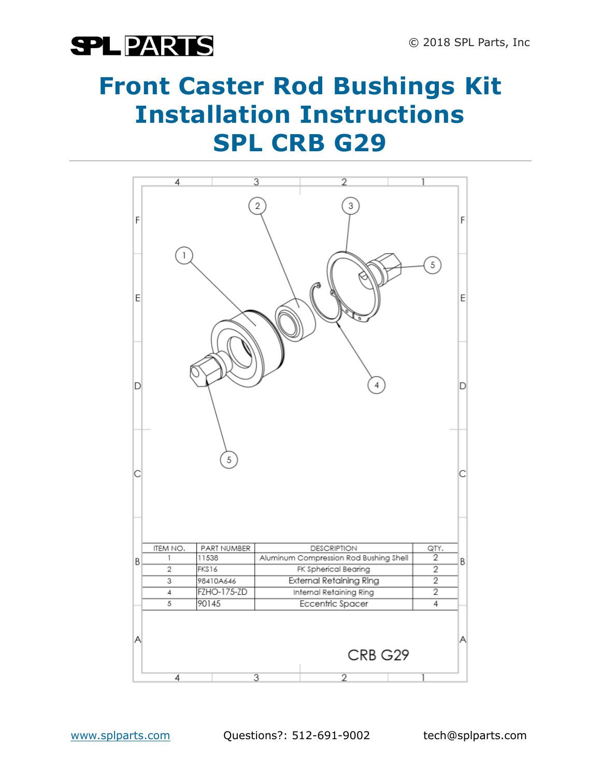## **SPLPARTS**

### **Front Caster Rod Bushings Kit Installation Instructions SPL CRB G29**



www.splparts.com Questions?: 512-691-9002 tech@splparts.com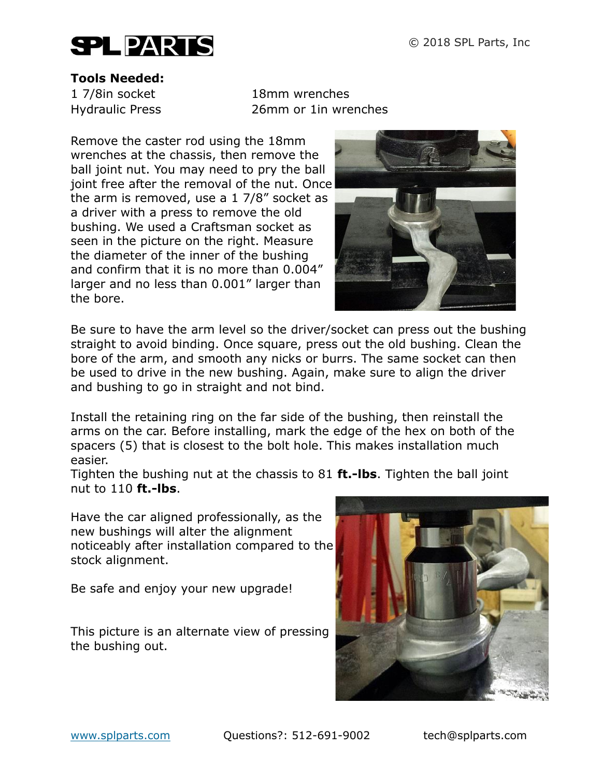

#### **Tools Needed:**

1 7/8in socket 18mm wrenches Hydraulic Press 26mm or 1in wrenches

Remove the caster rod using the 18mm wrenches at the chassis, then remove the ball joint nut. You may need to pry the ball joint free after the removal of the nut. Once the arm is removed, use a 1 7/8" socket as a driver with a press to remove the old bushing. We used a Craftsman socket as seen in the picture on the right. Measure the diameter of the inner of the bushing and confirm that it is no more than 0.004" larger and no less than 0.001" larger than the bore.



Be sure to have the arm level so the driver/socket can press out the bushing straight to avoid binding. Once square, press out the old bushing. Clean the bore of the arm, and smooth any nicks or burrs. The same socket can then be used to drive in the new bushing. Again, make sure to align the driver and bushing to go in straight and not bind.

Install the retaining ring on the far side of the bushing, then reinstall the arms on the car. Before installing, mark the edge of the hex on both of the spacers (5) that is closest to the bolt hole. This makes installation much easier.

Tighten the bushing nut at the chassis to 81 **ft.-lbs**. Tighten the ball joint nut to 110 **ft.-lbs**.

Have the car aligned professionally, as the new bushings will alter the alignment noticeably after installation compared to the stock alignment.

Be safe and enjoy your new upgrade!

This picture is an alternate view of pressing the bushing out.